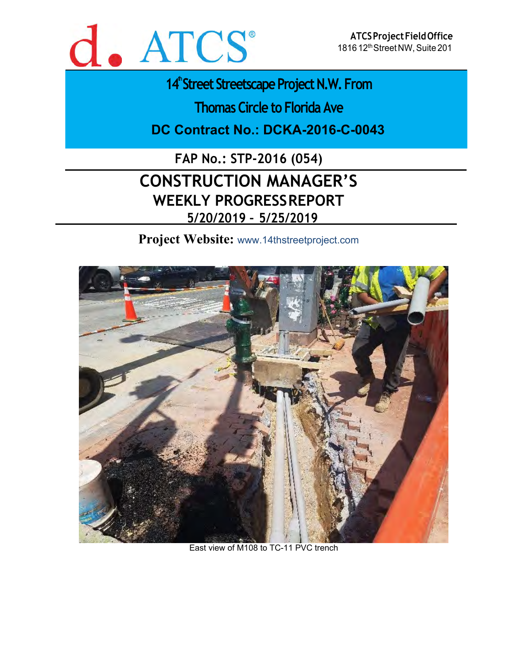

**14<sup>th</sup>Street Streetscape Project N.W. From** 

**Thomas Circle to Florida Ave**

**DC Contract No.: DCKA-2016-C-0043** 

**FAP No.: STP-2016 (054)**

# **CONSTRUCTION MANAGER'S WEEKLY PROGRESS REPORT 5/20/2019 – 5/25/2019**

**Project Website:** www.14thstreetproject.com



East view of M108 to TC-11 PVC trench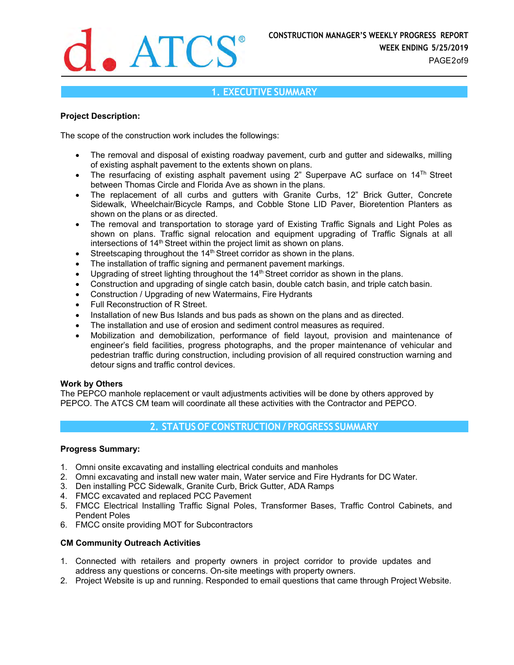

## **1. EXECUTIVE SUMMARY**

### **Project Description:**

The scope of the construction work includes the followings:

- The removal and disposal of existing roadway pavement, curb and gutter and sidewalks, milling of existing asphalt pavement to the extents shown on plans.
- The resurfacing of existing asphalt pavement using 2" Superpave AC surface on  $14<sup>Th</sup>$  Street between Thomas Circle and Florida Ave as shown in the plans.
- The replacement of all curbs and gutters with Granite Curbs, 12" Brick Gutter, Concrete Sidewalk, Wheelchair/Bicycle Ramps, and Cobble Stone LID Paver, Bioretention Planters as shown on the plans or as directed.
- The removal and transportation to storage yard of Existing Traffic Signals and Light Poles as shown on plans. Traffic signal relocation and equipment upgrading of Traffic Signals at all intersections of 14<sup>th</sup> Street within the project limit as shown on plans.
- Streetscaping throughout the 14<sup>th</sup> Street corridor as shown in the plans.
- The installation of traffic signing and permanent pavement markings.
- $\bullet$  Upgrading of street lighting throughout the 14<sup>th</sup> Street corridor as shown in the plans.
- Construction and upgrading of single catch basin, double catch basin, and triple catch basin.
- Construction / Upgrading of new Watermains, Fire Hydrants
- **•** Full Reconstruction of R Street.
- Installation of new Bus Islands and bus pads as shown on the plans and as directed.
- The installation and use of erosion and sediment control measures as required.
- Mobilization and demobilization, performance of field layout, provision and maintenance of engineer's field facilities, progress photographs, and the proper maintenance of vehicular and pedestrian traffic during construction, including provision of all required construction warning and detour signs and traffic control devices.

#### **Work by Others**

The PEPCO manhole replacement or vault adjustments activities will be done by others approved by PEPCO. The ATCS CM team will coordinate all these activities with the Contractor and PEPCO.

# **2. STATUS OF CONSTRUCTION / PROGRESS SUMMARY**

#### **Progress Summary:**

- 1. Omni onsite excavating and installing electrical conduits and manholes
- 2. Omni excavating and install new water main, Water service and Fire Hydrants for DC Water.
- 3. Den installing PCC Sidewalk, Granite Curb, Brick Gutter, ADA Ramps
- 4. FMCC excavated and replaced PCC Pavement
- 5. FMCC Electrical Installing Traffic Signal Poles, Transformer Bases, Traffic Control Cabinets, and Pendent Poles
- 6. FMCC onsite providing MOT for Subcontractors

## **CM Community Outreach Activities**

- 1. Connected with retailers and property owners in project corridor to provide updates and address any questions or concerns. On-site meetings with property owners.
- 2. Project Website is up and running. Responded to email questions that came through Project Website.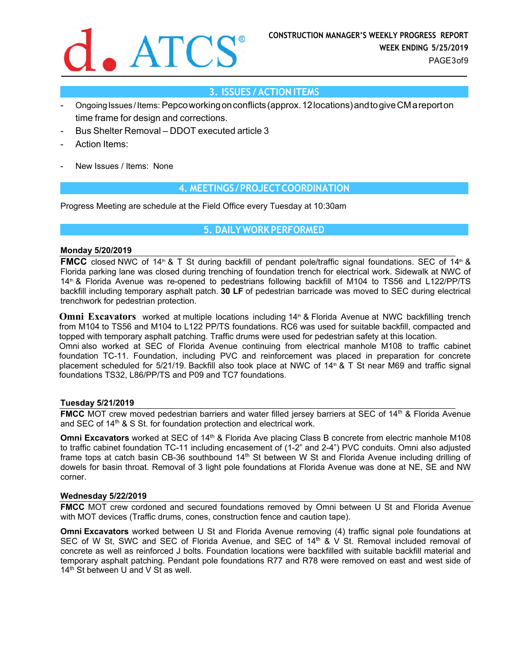

# **3. ISSUES / ACTION ITEMS**

- Ongoing Issues / Items: Pepco working on conflicts (approx. 12 locations) and to give CM a report on time frame for design and corrections.
- Bus Shelter Removal DDOT executed article 3
- Action Items:
- New Issues / Items: None

## **4. MEETINGS / PROJECT COORDINATION**

Progress Meeting are schedule at the Field Office every Tuesday at 10:30am

# **5. DAILY WORK PERFORMED**

#### **Monday 5/20/2019**

**FMCC** closed NWC of 14<sup>th</sup> & T St during backfill of pendant pole/traffic signal foundations. SEC of 14<sup>th</sup> & Florida parking lane was closed during trenching of foundation trench for electrical work. Sidewalk at NWC of 14th & Florida Avenue was re-opened to pedestrians following backfill of M104 to TS56 and L122/PP/TS backfill including temporary asphalt patch. **30 LF** of pedestrian barricade was moved to SEC during electrical trenchwork for pedestrian protection.

**Omni Excavators** worked at multiple locations including 14<sup>th</sup> & Florida Avenue at NWC backfilling trench from M104 to TS56 and M104 to L122 PP/TS foundations. RC6 was used for suitable backfill, compacted and topped with temporary asphalt patching. Traffic drums were used for pedestrian safety at this location. Omni also worked at SEC of Florida Avenue continuing from electrical manhole M108 to traffic cabinet foundation TC-11. Foundation, including PVC and reinforcement was placed in preparation for concrete placement scheduled for 5/21/19. Backfill also took place at NWC of 14<sup>th</sup> & T St near M69 and traffic signal foundations TS32, L86/PP/TS and P09 and TC7 foundations.

#### **Tuesday 5/21/2019**

**FMCC** MOT crew moved pedestrian barriers and water filled jersey barriers at SEC of 14<sup>th</sup> & Florida Avenue and SEC of  $14<sup>th</sup>$  & S St. for foundation protection and electrical work.

**Omni Excavators** worked at SEC of 14<sup>th</sup> & Florida Ave placing Class B concrete from electric manhole M108 to traffic cabinet foundation TC-11 including encasement of (1-2" and 2-4") PVC conduits. Omni also adjusted frame tops at catch basin CB-36 southbound 14<sup>th</sup> St between W St and Florida Avenue including drilling of dowels for basin throat. Removal of 3 light pole foundations at Florida Avenue was done at NE, SE and NW corner.

#### **Wednesday 5/22/2019**

**FMCC** MOT crew cordoned and secured foundations removed by Omni between U St and Florida Avenue with MOT devices (Traffic drums, cones, construction fence and caution tape).

**Omni Excavators** worked between U St and Florida Avenue removing (4) traffic signal pole foundations at SEC of W St, SWC and SEC of Florida Avenue, and SEC of 14<sup>th</sup> & V St. Removal included removal of concrete as well as reinforced J bolts. Foundation locations were backfilled with suitable backfill material and temporary asphalt patching. Pendant pole foundations R77 and R78 were removed on east and west side of 14<sup>th</sup> St between U and V St as well.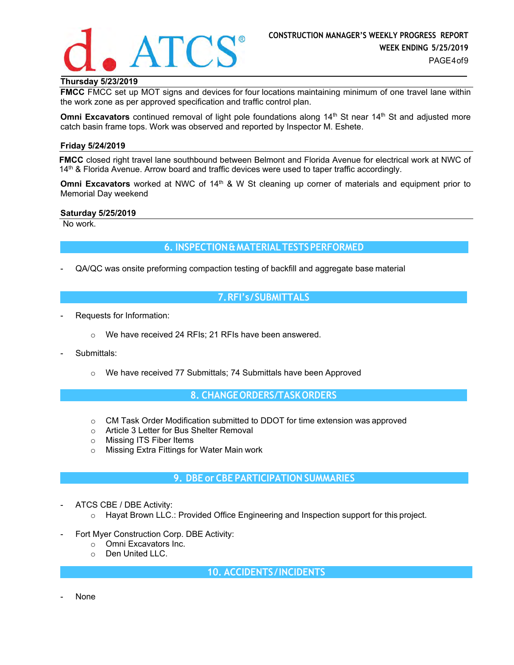

# **Thursday 5/23/2019**

**FMCC** FMCC set up MOT signs and devices for four locations maintaining minimum of one travel lane within the work zone as per approved specification and traffic control plan.

**Omni Excavators** continued removal of light pole foundations along 14<sup>th</sup> St near 14<sup>th</sup> St and adjusted more catch basin frame tops. Work was observed and reported by Inspector M. Eshete.

#### **Friday 5/24/2019**

**FMCC** closed right travel lane southbound between Belmont and Florida Avenue for electrical work at NWC of  $14<sup>th</sup>$  & Florida Avenue. Arrow board and traffic devices were used to taper traffic accordingly.

**Omni Excavators** worked at NWC of 14<sup>th</sup> & W St cleaning up corner of materials and equipment prior to Memorial Day weekend

#### **Saturday 5/25/2019**

No work.

## **6. INSPECTION & MATERIAL TESTS PERFORMED**

QA/QC was onsite preforming compaction testing of backfill and aggregate base material

# **7. RFI's / SUBMITTALS**

- Requests for Information:
	- o We have received 24 RFIs; 21 RFIs have been answered.
- Submittals:
	- o We have received 77 Submittals; 74 Submittals have been Approved

## **8. CHANGE ORDERS/TASK ORDERS**

- $\circ$  CM Task Order Modification submitted to DDOT for time extension was approved
- o Article 3 Letter for Bus Shelter Removal
- o Missing ITS Fiber Items
- o Missing Extra Fittings for Water Main work

## **9. DBE or CBE PARTICIPATION SUMMARIES**

- ATCS CBE / DBE Activity:
	- $\circ$  Hayat Brown LLC.: Provided Office Engineering and Inspection support for this project.
- Fort Myer Construction Corp. DBE Activity:
	- o Omni Excavators Inc.
	- o Den United LLC.

**10. ACCIDENTS / INCIDENTS**

**None**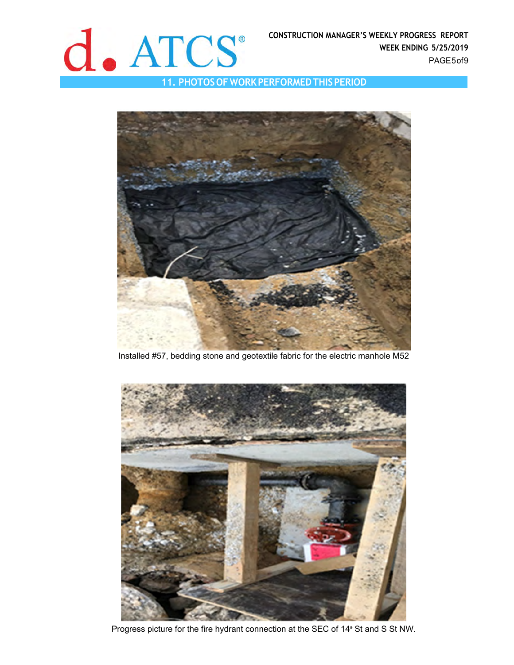

**11. PHOTOS OF WORK PERFORMED THIS PERIOD** 



Installed #57, bedding stone and geotextile fabric for the electric manhole M52



Progress picture for the fire hydrant connection at the SEC of 14<sup>th</sup> St and S St NW.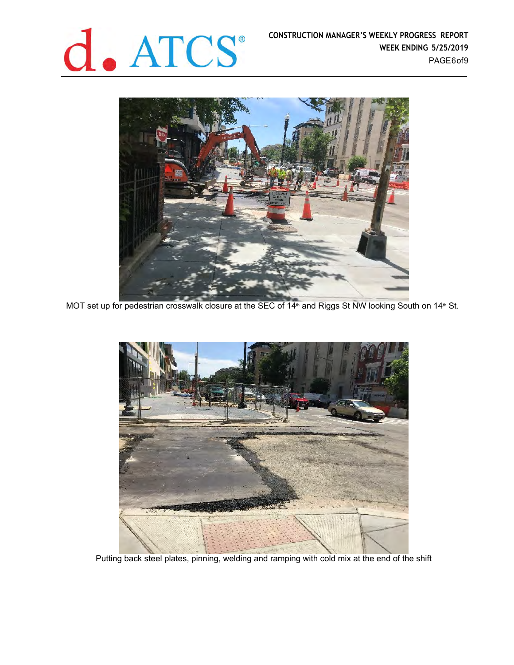



MOT set up for pedestrian crosswalk closure at the SEC of 14<sup>th</sup> and Riggs St NW looking South on 14<sup>th</sup> St.



Putting back steel plates, pinning, welding and ramping with cold mix at the end of the shift